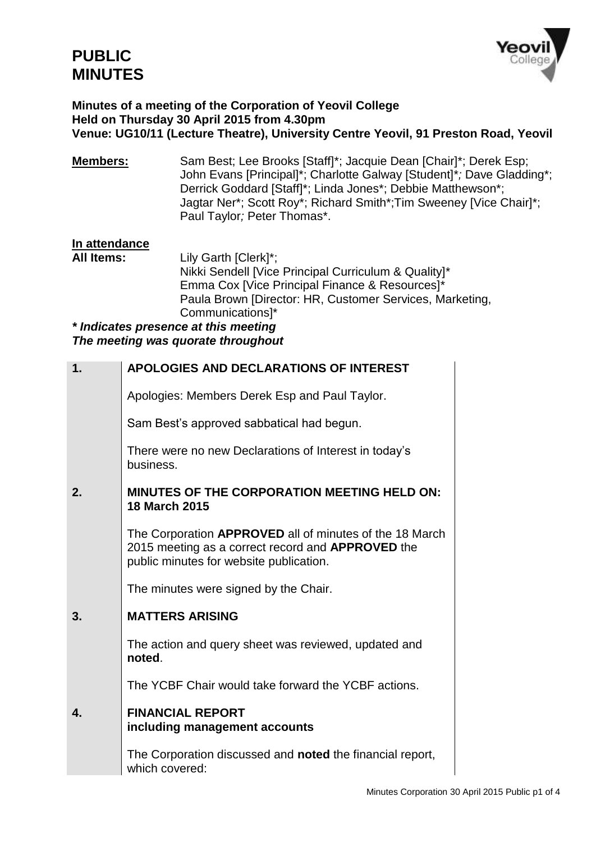

## **Minutes of a meeting of the Corporation of Yeovil College Held on Thursday 30 April 2015 from 4.30pm Venue: UG10/11 (Lecture Theatre), University Centre Yeovil, 91 Preston Road, Yeovil**

**Members:** Sam Best; Lee Brooks [Staff]\*; Jacquie Dean [Chair]\*; Derek Esp; John Evans [Principal]\*; Charlotte Galway [Student]\**;* Dave Gladding\*; Derrick Goddard [Staff]\*; Linda Jones\*; Debbie Matthewson\*; Jagtar Ner\*; Scott Roy\*; Richard Smith\*;Tim Sweeney [Vice Chair]\*; Paul Taylor*;* Peter Thomas\*.

# **In attendance**

Lily Garth [Clerk]\*; Nikki Sendell [Vice Principal Curriculum & Quality]\* Emma Cox [Vice Principal Finance & Resources]\* Paula Brown [Director: HR, Customer Services, Marketing, Communications]\*

*\* Indicates presence at this meeting The meeting was quorate throughout*

| 1. | APOLOGIES AND DECLARATIONS OF INTEREST                                                                                                                         |
|----|----------------------------------------------------------------------------------------------------------------------------------------------------------------|
|    | Apologies: Members Derek Esp and Paul Taylor.                                                                                                                  |
|    | Sam Best's approved sabbatical had begun.                                                                                                                      |
|    | There were no new Declarations of Interest in today's<br>business.                                                                                             |
| 2. | <b>MINUTES OF THE CORPORATION MEETING HELD ON:</b><br><b>18 March 2015</b>                                                                                     |
|    | The Corporation APPROVED all of minutes of the 18 March<br>2015 meeting as a correct record and <b>APPROVED</b> the<br>public minutes for website publication. |
|    | The minutes were signed by the Chair.                                                                                                                          |
| 3. | <b>MATTERS ARISING</b>                                                                                                                                         |
|    | The action and query sheet was reviewed, updated and<br>noted.                                                                                                 |
|    | The YCBF Chair would take forward the YCBF actions.                                                                                                            |
| 4. | <b>FINANCIAL REPORT</b><br>including management accounts                                                                                                       |
|    | The Corporation discussed and <b>noted</b> the financial report,<br>which covered:                                                                             |
|    |                                                                                                                                                                |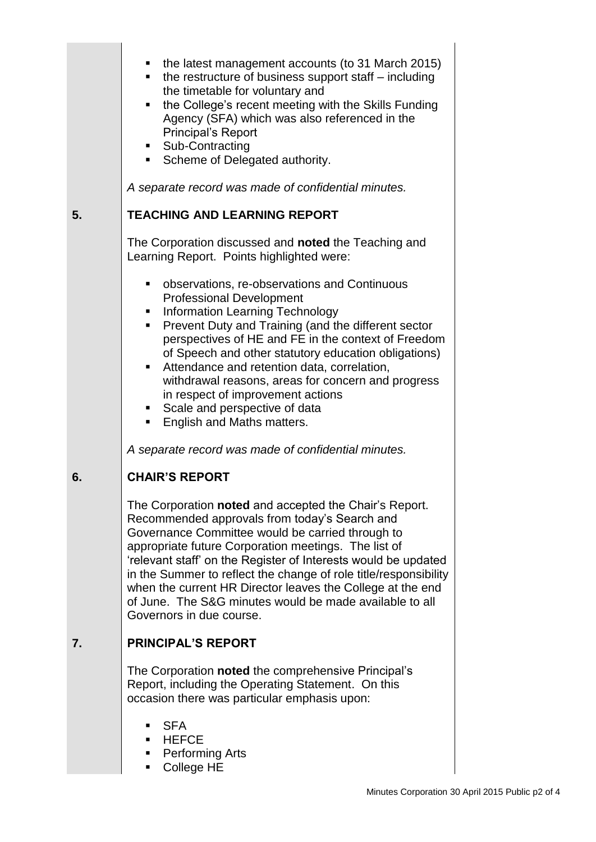|    | the latest management accounts (to 31 March 2015)<br>the restructure of business support staff - including<br>π.<br>the timetable for voluntary and<br>the College's recent meeting with the Skills Funding<br>ш<br>Agency (SFA) which was also referenced in the<br><b>Principal's Report</b><br>• Sub-Contracting<br>Scheme of Delegated authority.<br>A separate record was made of confidential minutes.                                                                                                                                                                                                                     |  |
|----|----------------------------------------------------------------------------------------------------------------------------------------------------------------------------------------------------------------------------------------------------------------------------------------------------------------------------------------------------------------------------------------------------------------------------------------------------------------------------------------------------------------------------------------------------------------------------------------------------------------------------------|--|
| 5. | <b>TEACHING AND LEARNING REPORT</b>                                                                                                                                                                                                                                                                                                                                                                                                                                                                                                                                                                                              |  |
|    | The Corporation discussed and noted the Teaching and<br>Learning Report. Points highlighted were:<br>observations, re-observations and Continuous<br><b>Professional Development</b><br>• Information Learning Technology<br>Prevent Duty and Training (and the different sector<br>п.<br>perspectives of HE and FE in the context of Freedom<br>of Speech and other statutory education obligations)<br>Attendance and retention data, correlation,<br>$\blacksquare$<br>withdrawal reasons, areas for concern and progress<br>in respect of improvement actions<br>Scale and perspective of data<br>English and Maths matters. |  |
|    | A separate record was made of confidential minutes.                                                                                                                                                                                                                                                                                                                                                                                                                                                                                                                                                                              |  |
| 6. | <b>CHAIR'S REPORT</b>                                                                                                                                                                                                                                                                                                                                                                                                                                                                                                                                                                                                            |  |
|    | The Corporation noted and accepted the Chair's Report.<br>Recommended approvals from today's Search and<br>Governance Committee would be carried through to<br>appropriate future Corporation meetings. The list of<br>'relevant staff' on the Register of Interests would be updated<br>in the Summer to reflect the change of role title/responsibility<br>when the current HR Director leaves the College at the end<br>of June. The S&G minutes would be made available to all<br>Governors in due course.                                                                                                                   |  |
| 7. | <b>PRINCIPAL'S REPORT</b>                                                                                                                                                                                                                                                                                                                                                                                                                                                                                                                                                                                                        |  |
|    | The Corporation noted the comprehensive Principal's<br>Report, including the Operating Statement. On this<br>occasion there was particular emphasis upon:                                                                                                                                                                                                                                                                                                                                                                                                                                                                        |  |
|    | <b>SFA</b><br>HEFCE<br>Performing Arts<br>ш<br>College HE<br>ш                                                                                                                                                                                                                                                                                                                                                                                                                                                                                                                                                                   |  |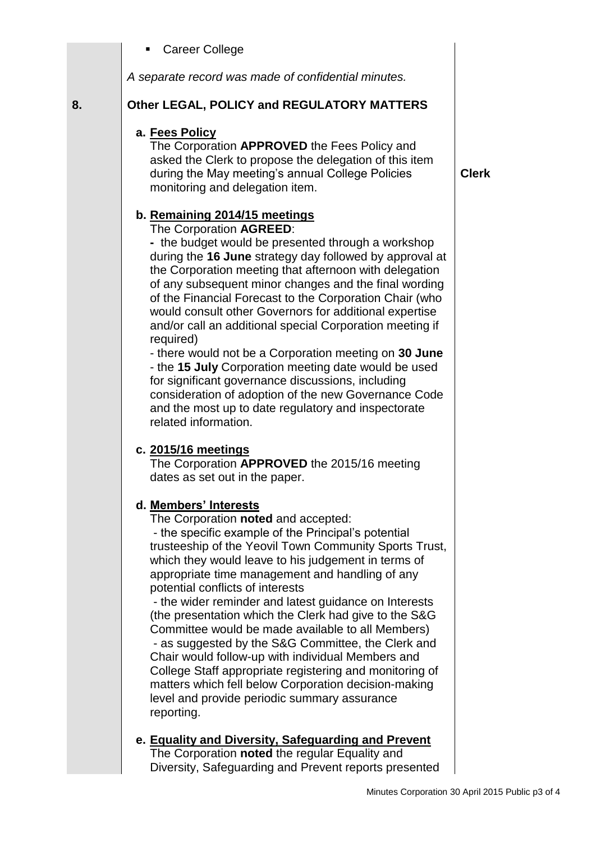Career College

*A separate record was made of confidential minutes.*

## **8. Other LEGAL, POLICY and REGULATORY MATTERS**

## **a. Fees Policy**

The Corporation **APPROVED** the Fees Policy and asked the Clerk to propose the delegation of this item during the May meeting's annual College Policies monitoring and delegation item.

# **b. Remaining 2014/15 meetings**

The Corporation **AGREED**:

**-** the budget would be presented through a workshop during the **16 June** strategy day followed by approval at the Corporation meeting that afternoon with delegation of any subsequent minor changes and the final wording of the Financial Forecast to the Corporation Chair (who would consult other Governors for additional expertise and/or call an additional special Corporation meeting if required)

- there would not be a Corporation meeting on **30 June** - the **15 July** Corporation meeting date would be used for significant governance discussions, including consideration of adoption of the new Governance Code and the most up to date regulatory and inspectorate related information.

## **c. 2015/16 meetings**

The Corporation **APPROVED** the 2015/16 meeting dates as set out in the paper.

## **d. Members' Interests**

The Corporation **noted** and accepted: - the specific example of the Principal's potential trusteeship of the Yeovil Town Community Sports Trust, which they would leave to his judgement in terms of appropriate time management and handling of any potential conflicts of interests

- the wider reminder and latest guidance on Interests (the presentation which the Clerk had give to the S&G Committee would be made available to all Members) - as suggested by the S&G Committee, the Clerk and Chair would follow-up with individual Members and College Staff appropriate registering and monitoring of matters which fell below Corporation decision-making level and provide periodic summary assurance reporting.

#### **e. Equality and Diversity, Safeguarding and Prevent** The Corporation **noted** the regular Equality and Diversity, Safeguarding and Prevent reports presented

**Clerk**